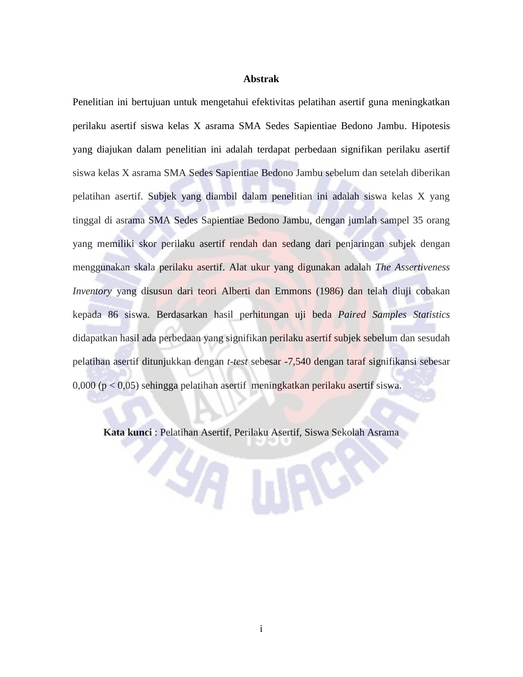## **Abstrak**

Penelitian ini bertujuan untuk mengetahui efektivitas pelatihan asertif guna meningkatkan perilaku asertif siswa kelas X asrama SMA Sedes Sapientiae Bedono Jambu. Hipotesis yang diajukan dalam penelitian ini adalah terdapat perbedaan signifikan perilaku asertif siswa kelas X asrama SMA Sedes Sapientiae Bedono Jambu sebelum dan setelah diberikan pelatihan asertif. Subjek yang diambil dalam penelitian ini adalah siswa kelas X yang tinggal di asrama SMA Sedes Sapientiae Bedono Jambu, dengan jumlah sampel 35 orang yang memiliki skor perilaku asertif rendah dan sedang dari penjaringan subjek dengan menggunakan skala perilaku asertif. Alat ukur yang digunakan adalah *The Assertiveness Inventory* yang disusun dari teori Alberti dan Emmons (1986) dan telah diuji cobakan kepada 86 siswa. Berdasarkan hasil perhitungan uji beda *Paired Samples Statistics*  didapatkan hasil ada perbedaan yang signifikan perilaku asertif subjek sebelum dan sesudah pelatihan asertif ditunjukkan dengan *t-test* sebesar -7,540 dengan taraf signifikansi sebesar 0,000 (p < 0,05) sehingga pelatihan asertif meningkatkan perilaku asertif siswa.

**Kata kunci** : Pelatihan Asertif, Perilaku Asertif, Siswa Sekolah Asrama

**KATHES**